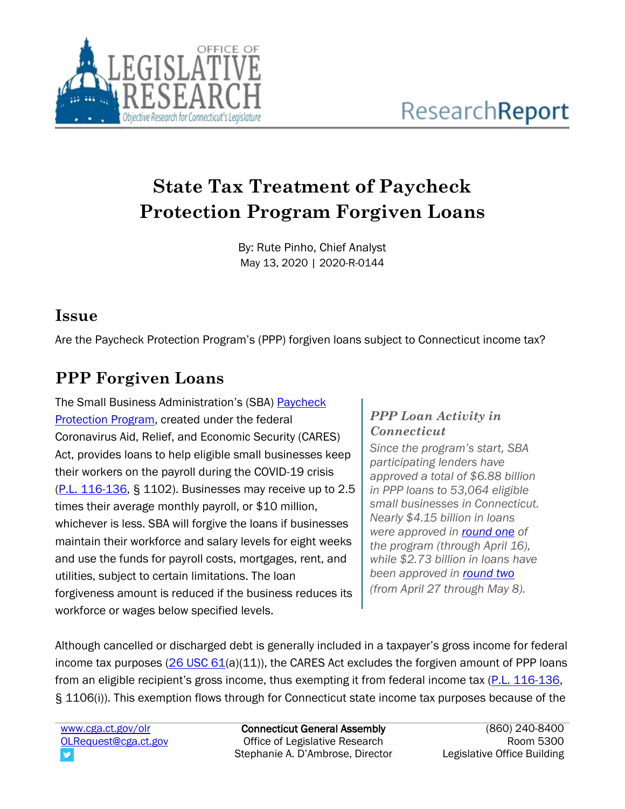

## **State Tax Treatment of Paycheck Protection Program Forgiven Loans**

By: Rute Pinho, Chief Analyst May 13, 2020 | 2020-R-0144

## **Issue**

Are the Paycheck Protection Program's (PPP) forgiven loans subject to Connecticut income tax?

## **PPP Forgiven Loans**

The Small Business Administration's (SBA) [Paycheck](https://www.sba.gov/funding-programs/loans/coronavirus-relief-options/paycheck-protection-program)  [Protection Program,](https://www.sba.gov/funding-programs/loans/coronavirus-relief-options/paycheck-protection-program) created under the federal Coronavirus Aid, Relief, and Economic Security (CARES) Act, provides loans to help eligible small businesses keep their workers on the payroll during the COVID-19 crisis [\(P.L. 116-136,](https://www.congress.gov/116/bills/hr748/BILLS-116hr748enr.pdf) § 1102). Businesses may receive up to 2.5 times their average monthly payroll, or \$10 million, whichever is less. SBA will forgive the loans if businesses maintain their workforce and salary levels for eight weeks and use the funds for payroll costs, mortgages, rent, and utilities, subject to certain limitations. The loan forgiveness amount is reduced if the business reduces its workforce or wages below specified levels.

## *PPP Loan Activity in Connecticut*

*Since the program's start, SBA participating lenders have approved a total of \$6.88 billion in PPP loans to 53,064 eligible small businesses in Connecticut. Nearly \$4.15 billion in loans were approved in [round one](https://content.sba.gov/sites/default/files/2020-05/PPP%20Deck%20copy.pdf) of the program (through April 16), while \$2.73 billion in loans have been approved in [round two](https://www.sba.gov/document/report--paycheck-protection-program-ppp-report) (from April 27 through May 8).*

Although cancelled or discharged debt is generally included in a taxpayer's gross income for federal income tax purposes  $(26 \text{ USC } 61(a)(11))$ , the CARES Act excludes the forgiven amount of PPP loans from an eligible recipient's gross income, thus exempting it from federal income tax [\(P.L. 116-136,](https://www.congress.gov/116/bills/hr748/BILLS-116hr748enr.pdf) § 1106(i)). This exemption flows through for Connecticut state income tax purposes because of the